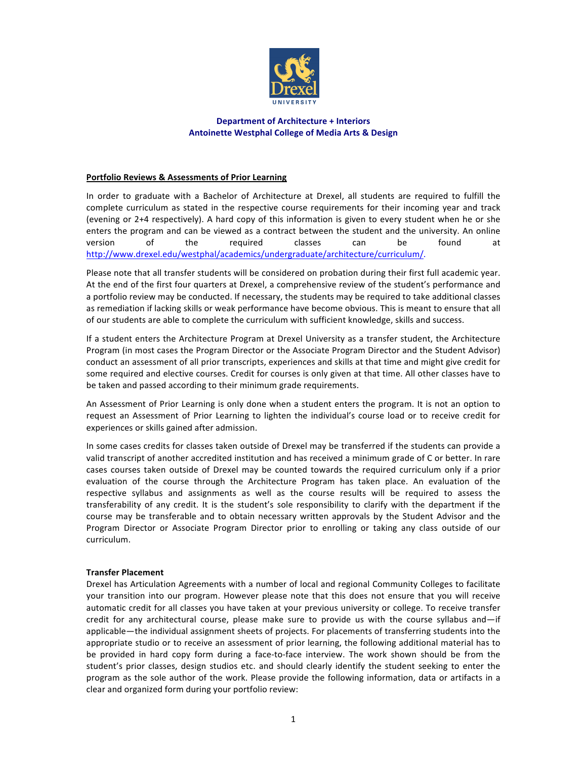

## **Department of Architecture + Interiors** Antoinette Westphal College of Media Arts & Design

# Portfolio Reviews & Assessments of Prior Learning

In order to graduate with a Bachelor of Architecture at Drexel, all students are required to fulfill the complete curriculum as stated in the respective course requirements for their incoming year and track (evening or 2+4 respectively). A hard copy of this information is given to every student when he or she enters the program and can be viewed as a contract between the student and the university. An online version of the required classes can be found at http://www.drexel.edu/westphal/academics/undergraduate/architecture/curriculum/."

Please note that all transfer students will be considered on probation during their first full academic year. At the end of the first four quarters at Drexel, a comprehensive review of the student's performance and a portfolio review may be conducted. If necessary, the students may be required to take additional classes as remediation if lacking skills or weak performance have become obvious. This is meant to ensure that all of our students are able to complete the curriculum with sufficient knowledge, skills and success.

If a student enters the Architecture Program at Drexel University as a transfer student, the Architecture Program (in most cases the Program Director or the Associate Program Director and the Student Advisor) conduct an assessment of all prior transcripts, experiences and skills at that time and might give credit for some required and elective courses. Credit for courses is only given at that time. All other classes have to be taken and passed according to their minimum grade requirements.

An Assessment of Prior Learning is only done when a student enters the program. It is not an option to request an Assessment of Prior Learning to lighten the individual's course load or to receive credit for experiences or skills gained after admission.

In some cases credits for classes taken outside of Drexel may be transferred if the students can provide a valid transcript of another accredited institution and has received a minimum grade of C or better. In rare cases courses taken outside of Drexel may be counted towards the required curriculum only if a prior evaluation of the course through the Architecture Program has taken place. An evaluation of the respective syllabus and assignments as well as the course results will be required to assess the transferability of any credit. It is the student's sole responsibility to clarify with the department if the course may be transferable and to obtain necessary written approvals by the Student Advisor and the Program Director or Associate Program Director prior to enrolling or taking any class outside of our curriculum.

## **Transfer Placement**

Drexel has Articulation Agreements with a number of local and regional Community Colleges to facilitate your transition into our program. However please note that this does not ensure that you will receive automatic credit for all classes you have taken at your previous university or college. To receive transfer credit for any architectural course, please make sure to provide us with the course syllabus and—if" applicable—the individual assignment sheets of projects. For placements of transferring students into the appropriate studio or to receive an assessment of prior learning, the following additional material has to be provided in hard copy form during a face-to-face interview. The work shown should be from the student's prior classes, design studios etc. and should clearly identify the student seeking to enter the program as the sole author of the work. Please provide the following information, data or artifacts in a clear and organized form during your portfolio review: